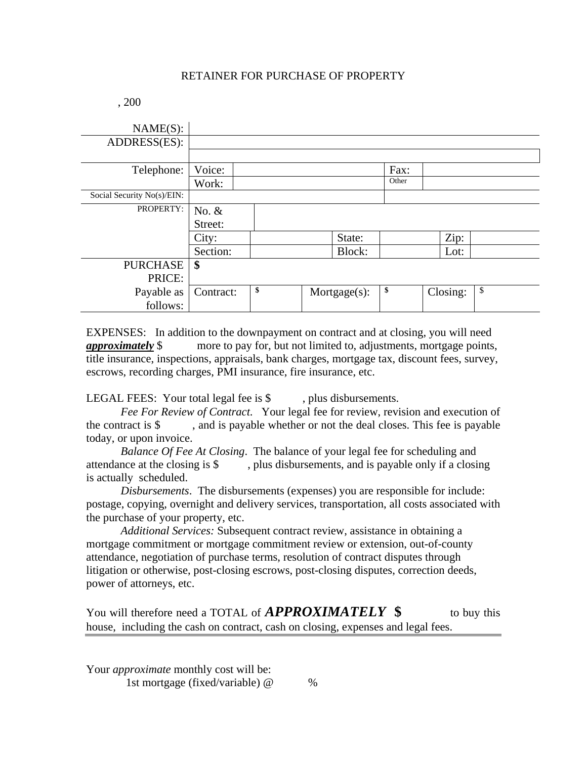## RETAINER FOR PURCHASE OF PROPERTY

| , 200 |
|-------|
|       |

| NAME(S):                   |           |    |              |       |          |    |
|----------------------------|-----------|----|--------------|-------|----------|----|
| ADDRESS(ES):               |           |    |              |       |          |    |
|                            |           |    |              |       |          |    |
| Telephone:                 | Voice:    |    |              | Fax:  |          |    |
|                            | Work:     |    |              | Other |          |    |
| Social Security No(s)/EIN: |           |    |              |       |          |    |
| PROPERTY:                  | No. $&$   |    |              |       |          |    |
|                            | Street:   |    |              |       |          |    |
|                            | City:     |    | State:       |       | Zip:     |    |
|                            | Section:  |    | Block:       |       | Lot:     |    |
| <b>PURCHASE</b>            | \$        |    |              |       |          |    |
| PRICE:                     |           |    |              |       |          |    |
| Payable as<br>follows:     | Contract: | \$ | Mortgage(s): | \$    | Closing: | \$ |

EXPENSES: In addition to the downpayment on contract and at closing, you will need *approximately* \$ more to pay for, but not limited to, adjustments, mortgage points, title insurance, inspections, appraisals, bank charges, mortgage tax, discount fees, survey, escrows, recording charges, PMI insurance, fire insurance, etc.

LEGAL FEES: Your total legal fee is \$, plus disbursements.

*Fee For Review of Contract*. Your legal fee for review, revision and execution of the contract is  $\$  , and is payable whether or not the deal closes. This fee is payable today, or upon invoice.

*Balance Of Fee At Closing*. The balance of your legal fee for scheduling and attendance at the closing is \$ , plus disbursements, and is payable only if a closing is actually scheduled.

*Disbursements*. The disbursements (expenses) you are responsible for include: postage, copying, overnight and delivery services, transportation, all costs associated with the purchase of your property, etc.

*Additional Services:* Subsequent contract review, assistance in obtaining a mortgage commitment or mortgage commitment review or extension, out-of-county attendance, negotiation of purchase terms, resolution of contract disputes through litigation or otherwise, post-closing escrows, post-closing disputes, correction deeds, power of attorneys, etc.

| You will therefore need a TOTAL of <b>APPROXIMATELY</b> \$                       | to buy this |
|----------------------------------------------------------------------------------|-------------|
| house, including the cash on contract, cash on closing, expenses and legal fees. |             |

Your *approximate* monthly cost will be: 1st mortgage (fixed/variable) @ %